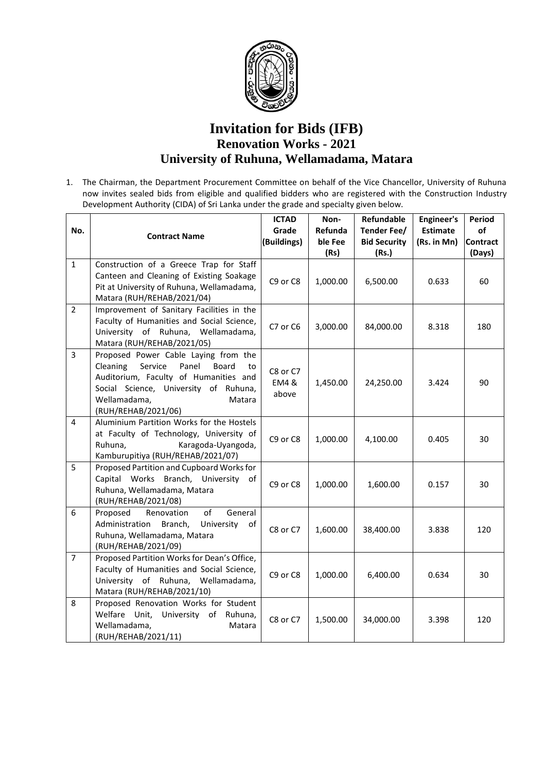

## **Invitation for Bids (IFB) Renovation Works - 2021 University of Ruhuna, Wellamadama, Matara**

1. The Chairman, the Department Procurement Committee on behalf of the Vice Chancellor, University of Ruhuna now invites sealed bids from eligible and qualified bidders who are registered with the Construction Industry Development Authority (CIDA) of Sri Lanka under the grade and specialty given below.

| No.            | <b>Contract Name</b>                                                                                                                                                                                                   | <b>ICTAD</b><br>Grade<br>(Buildings) | Non-<br>Refunda<br>ble Fee<br>(Rs) | Refundable<br>Tender Fee/<br><b>Bid Security</b><br>(Rs.) | <b>Engineer's</b><br><b>Estimate</b><br>(Rs. in Mn) | Period<br>of<br><b>Contract</b><br>(Days) |
|----------------|------------------------------------------------------------------------------------------------------------------------------------------------------------------------------------------------------------------------|--------------------------------------|------------------------------------|-----------------------------------------------------------|-----------------------------------------------------|-------------------------------------------|
| $\mathbf{1}$   | Construction of a Greece Trap for Staff<br>Canteen and Cleaning of Existing Soakage<br>Pit at University of Ruhuna, Wellamadama,<br>Matara (RUH/REHAB/2021/04)                                                         | C9 or C8                             | 1,000.00                           | 6,500.00                                                  | 0.633                                               | 60                                        |
| $\overline{2}$ | Improvement of Sanitary Facilities in the<br>Faculty of Humanities and Social Science,<br>University of Ruhuna, Wellamadama,<br>Matara (RUH/REHAB/2021/05)                                                             | C7 or C6                             | 3,000.00                           | 84,000.00                                                 | 8.318                                               | 180                                       |
| $\overline{3}$ | Proposed Power Cable Laying from the<br>Cleaning<br>Service<br>Panel<br>Board<br>to<br>Auditorium, Faculty of Humanities and<br>Social Science, University of Ruhuna,<br>Wellamadama,<br>Matara<br>(RUH/REHAB/2021/06) | C8 or C7<br>EM4 &<br>above           | 1,450.00                           | 24,250.00                                                 | 3.424                                               | 90                                        |
| 4              | Aluminium Partition Works for the Hostels<br>at Faculty of Technology, University of<br>Ruhuna,<br>Karagoda-Uyangoda,<br>Kamburupitiya (RUH/REHAB/2021/07)                                                             | C9 or C8                             | 1,000.00                           | 4,100.00                                                  | 0.405                                               | 30                                        |
| 5              | Proposed Partition and Cupboard Works for<br>Capital Works Branch, University of<br>Ruhuna, Wellamadama, Matara<br>(RUH/REHAB/2021/08)                                                                                 | C9 or C8                             | 1,000.00                           | 1,600.00                                                  | 0.157                                               | 30                                        |
| 6              | of<br>Proposed<br>General<br>Renovation<br>Administration<br>Branch,<br>University<br>of<br>Ruhuna, Wellamadama, Matara<br>(RUH/REHAB/2021/09)                                                                         | C8 or C7                             | 1,600.00                           | 38,400.00                                                 | 3.838                                               | 120                                       |
| $\overline{7}$ | Proposed Partition Works for Dean's Office,<br>Faculty of Humanities and Social Science,<br>University of Ruhuna, Wellamadama,<br>Matara (RUH/REHAB/2021/10)                                                           | C9 or C8                             | 1,000.00                           | 6,400.00                                                  | 0.634                                               | 30                                        |
| 8              | Proposed Renovation Works for Student<br>Welfare Unit,<br>University of<br>Ruhuna,<br>Wellamadama,<br>Matara<br>(RUH/REHAB/2021/11)                                                                                    | C8 or C7                             | 1,500.00                           | 34,000.00                                                 | 3.398                                               | 120                                       |